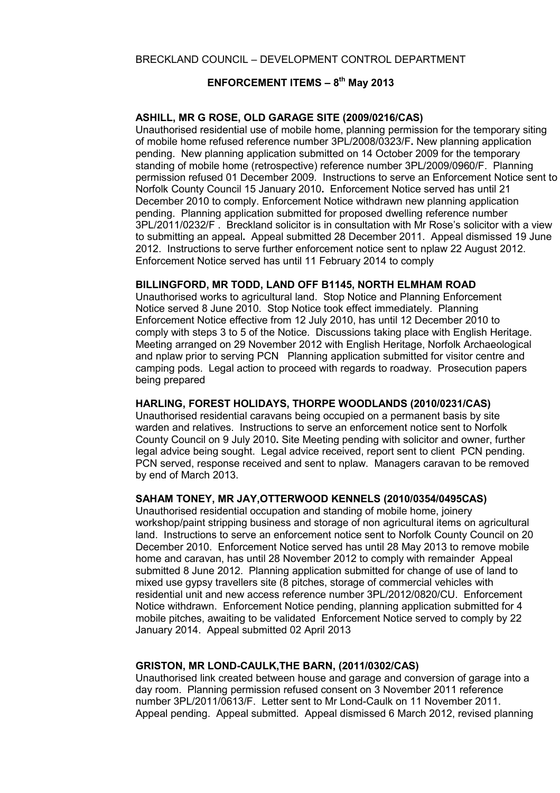# **ENFORCEMENT ITEMS – 8th May 2013**

### **ASHILL, MR G ROSE, OLD GARAGE SITE (2009/0216/CAS)**

Unauthorised residential use of mobile home, planning permission for the temporary siting of mobile home refused reference number 3PL/2008/0323/F**.** New planning application pending. New planning application submitted on 14 October 2009 for the temporary standing of mobile home (retrospective) reference number 3PL/2009/0960/F. Planning permission refused 01 December 2009. Instructions to serve an Enforcement Notice sent to Norfolk County Council 15 January 2010**.** Enforcement Notice served has until 21 December 2010 to comply. Enforcement Notice withdrawn new planning application pending. Planning application submitted for proposed dwelling reference number 3PL/2011/0232/F . Breckland solicitor is in consultation with Mr Rose's solicitor with a view to submitting an appeal**.** Appeal submitted 28 December 2011. Appeal dismissed 19 June 2012. Instructions to serve further enforcement notice sent to nplaw 22 August 2012. Enforcement Notice served has until 11 February 2014 to comply

### **BILLINGFORD, MR TODD, LAND OFF B1145, NORTH ELMHAM ROAD**

Unauthorised works to agricultural land. Stop Notice and Planning Enforcement Notice served 8 June 2010. Stop Notice took effect immediately. Planning Enforcement Notice effective from 12 July 2010, has until 12 December 2010 to comply with steps 3 to 5 of the Notice. Discussions taking place with English Heritage. Meeting arranged on 29 November 2012 with English Heritage, Norfolk Archaeological and nplaw prior to serving PCNPlanning application submitted for visitor centre and camping pods. Legal action to proceed with regards to roadway. Prosecution papers being prepared

### **HARLING, FOREST HOLIDAYS, THORPE WOODLANDS (2010/0231/CAS)**

Unauthorised residential caravans being occupied on a permanent basis by site warden and relatives. Instructions to serve an enforcement notice sent to Norfolk County Council on 9 July 2010**.** Site Meeting pending with solicitor and owner, further legal advice being sought. Legal advice received, report sent to client PCN pending. PCN served, response received and sent to nplaw. Managers caravan to be removed by end of March 2013.

### **SAHAM TONEY, MR JAY,OTTERWOOD KENNELS (2010/0354/0495CAS)**

Unauthorised residential occupation and standing of mobile home, joinery workshop/paint stripping business and storage of non agricultural items on agricultural land. Instructions to serve an enforcement notice sent to Norfolk County Council on 20 December 2010. Enforcement Notice served has until 28 May 2013 to remove mobile home and caravan, has until 28 November 2012 to comply with remainder Appeal submitted 8 June 2012. Planning application submitted for change of use of land to mixed use gypsy travellers site (8 pitches, storage of commercial vehicles with residential unit and new access reference number 3PL/2012/0820/CU. Enforcement Notice withdrawn. Enforcement Notice pending, planning application submitted for 4 mobile pitches, awaiting to be validated Enforcement Notice served to comply by 22 January 2014. Appeal submitted 02 April 2013

### **GRISTON, MR LOND-CAULK,THE BARN, (2011/0302/CAS)**

Unauthorised link created between house and garage and conversion of garage into a day room. Planning permission refused consent on 3 November 2011 reference number 3PL/2011/0613/F. Letter sent to Mr Lond-Caulk on 11 November 2011. Appeal pending. Appeal submitted. Appeal dismissed 6 March 2012, revised planning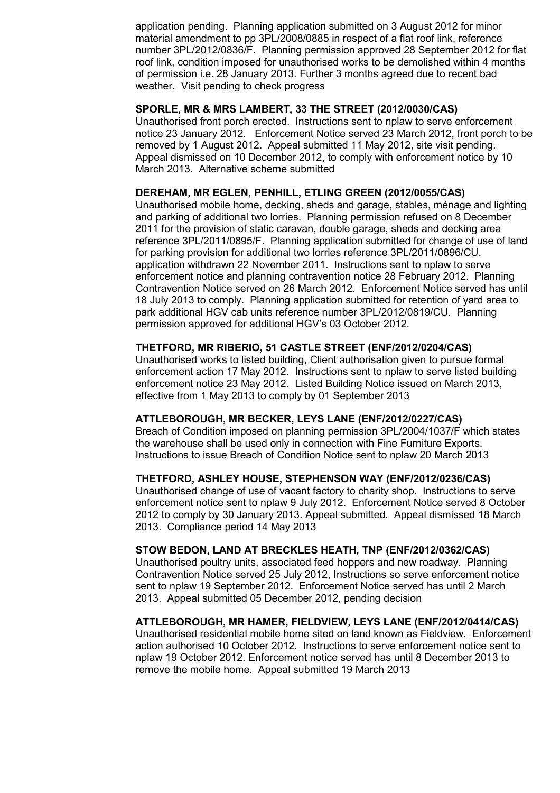application pending. Planning application submitted on 3 August 2012 for minor material amendment to pp 3PL/2008/0885 in respect of a flat roof link, reference number 3PL/2012/0836/F. Planning permission approved 28 September 2012 for flat roof link, condition imposed for unauthorised works to be demolished within 4 months of permission i.e. 28 January 2013. Further 3 months agreed due to recent bad weather. Visit pending to check progress

# **SPORLE, MR & MRS LAMBERT, 33 THE STREET (2012/0030/CAS)**

Unauthorised front porch erected. Instructions sent to nplaw to serve enforcement notice 23 January 2012. Enforcement Notice served 23 March 2012, front porch to be removed by 1 August 2012. Appeal submitted 11 May 2012, site visit pending. Appeal dismissed on 10 December 2012, to comply with enforcement notice by 10 March 2013. Alternative scheme submitted

#### **DEREHAM, MR EGLEN, PENHILL, ETLING GREEN (2012/0055/CAS)**

Unauthorised mobile home, decking, sheds and garage, stables, ménage and lighting and parking of additional two lorries. Planning permission refused on 8 December 2011 for the provision of static caravan, double garage, sheds and decking area reference 3PL/2011/0895/F. Planning application submitted for change of use of land for parking provision for additional two lorries reference 3PL/2011/0896/CU, application withdrawn 22 November 2011. Instructions sent to nplaw to serve enforcement notice and planning contravention notice 28 February 2012. Planning Contravention Notice served on 26 March 2012. Enforcement Notice served has until 18 July 2013 to comply. Planning application submitted for retention of yard area to park additional HGV cab units reference number 3PL/2012/0819/CU. Planning permission approved for additional HGV's 03 October 2012.

#### **THETFORD, MR RIBERIO, 51 CASTLE STREET (ENF/2012/0204/CAS)**

Unauthorised works to listed building, Client authorisation given to pursue formal enforcement action 17 May 2012. Instructions sent to nplaw to serve listed building enforcement notice 23 May 2012. Listed Building Notice issued on March 2013, effective from 1 May 2013 to comply by 01 September 2013

### **ATTLEBOROUGH, MR BECKER, LEYS LANE (ENF/2012/0227/CAS)**

Breach of Condition imposed on planning permission 3PL/2004/1037/F which states the warehouse shall be used only in connection with Fine Furniture Exports. Instructions to issue Breach of Condition Notice sent to nplaw 20 March 2013

## **THETFORD, ASHLEY HOUSE, STEPHENSON WAY (ENF/2012/0236/CAS)**

Unauthorised change of use of vacant factory to charity shop. Instructions to serve enforcement notice sent to nplaw 9 July 2012. Enforcement Notice served 8 October 2012 to comply by 30 January 2013. Appeal submitted. Appeal dismissed 18 March 2013. Compliance period 14 May 2013

### **STOW BEDON, LAND AT BRECKLES HEATH, TNP (ENF/2012/0362/CAS)**

Unauthorised poultry units, associated feed hoppers and new roadway. Planning Contravention Notice served 25 July 2012, Instructions so serve enforcement notice sent to nplaw 19 September 2012. Enforcement Notice served has until 2 March 2013. Appeal submitted 05 December 2012, pending decision

#### **ATTLEBOROUGH, MR HAMER, FIELDVIEW, LEYS LANE (ENF/2012/0414/CAS)**

Unauthorised residential mobile home sited on land known as Fieldview. Enforcement action authorised 10 October 2012. Instructions to serve enforcement notice sent to nplaw 19 October 2012. Enforcement notice served has until 8 December 2013 to remove the mobile home. Appeal submitted 19 March 2013